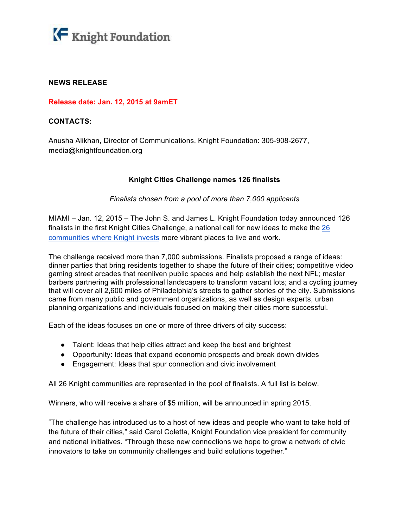

# **NEWS RELEASE**

## **Release date: Jan. 12, 2015 at 9amET**

## **CONTACTS:**

Anusha Alikhan, Director of Communications, Knight Foundation: 305-908-2677, media@knightfoundation.org

# **Knight Cities Challenge names 126 finalists**

## *Finalists chosen from a pool of more than 7,000 applicants*

MIAMI – Jan. 12, 2015 – The John S. and James L. Knight Foundation today announced 126 finalists in the first Knight Cities Challenge, a national call for new ideas to make the 26 communities where Knight invests more vibrant places to live and work.

The challenge received more than 7,000 submissions. Finalists proposed a range of ideas: dinner parties that bring residents together to shape the future of their cities; competitive video gaming street arcades that reenliven public spaces and help establish the next NFL; master barbers partnering with professional landscapers to transform vacant lots; and a cycling journey that will cover all 2,600 miles of Philadelphia's streets to gather stories of the city. Submissions came from many public and government organizations, as well as design experts, urban planning organizations and individuals focused on making their cities more successful.

Each of the ideas focuses on one or more of three drivers of city success:

- Talent: Ideas that help cities attract and keep the best and brightest
- Opportunity: Ideas that expand economic prospects and break down divides
- Engagement: Ideas that spur connection and civic involvement

All 26 Knight communities are represented in the pool of finalists. A full list is below.

Winners, who will receive a share of \$5 million, will be announced in spring 2015.

"The challenge has introduced us to a host of new ideas and people who want to take hold of the future of their cities," said Carol Coletta, Knight Foundation vice president for community and national initiatives. "Through these new connections we hope to grow a network of civic innovators to take on community challenges and build solutions together."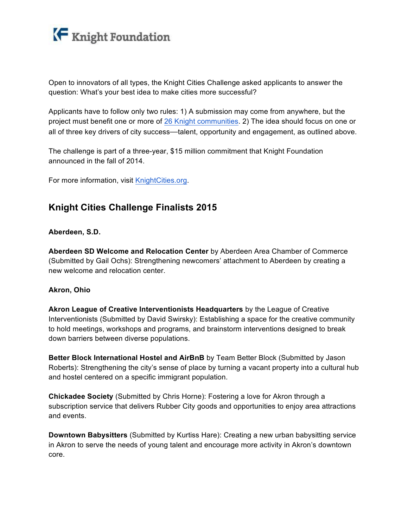

Open to innovators of all types, the Knight Cities Challenge asked applicants to answer the question: What's your best idea to make cities more successful?

Applicants have to follow only two rules: 1) A submission may come from anywhere, but the project must benefit one or more of 26 Knight communities. 2) The idea should focus on one or all of three key drivers of city success—talent, opportunity and engagement, as outlined above.

The challenge is part of a three-year, \$15 million commitment that Knight Foundation announced in the fall of 2014.

For more information, visit KnightCities.org.

# **Knight Cities Challenge Finalists 2015**

# **Aberdeen, S.D.**

**Aberdeen SD Welcome and Relocation Center** by Aberdeen Area Chamber of Commerce (Submitted by Gail Ochs): Strengthening newcomers' attachment to Aberdeen by creating a new welcome and relocation center.

#### **Akron, Ohio**

**Akron League of Creative Interventionists Headquarters** by the League of Creative Interventionists (Submitted by David Swirsky): Establishing a space for the creative community to hold meetings, workshops and programs, and brainstorm interventions designed to break down barriers between diverse populations.

**Better Block International Hostel and AirBnB** by Team Better Block (Submitted by Jason Roberts): Strengthening the city's sense of place by turning a vacant property into a cultural hub and hostel centered on a specific immigrant population.

**Chickadee Society** (Submitted by Chris Horne): Fostering a love for Akron through a subscription service that delivers Rubber City goods and opportunities to enjoy area attractions and events.

**Downtown Babysitters** (Submitted by Kurtiss Hare): Creating a new urban babysitting service in Akron to serve the needs of young talent and encourage more activity in Akron's downtown core.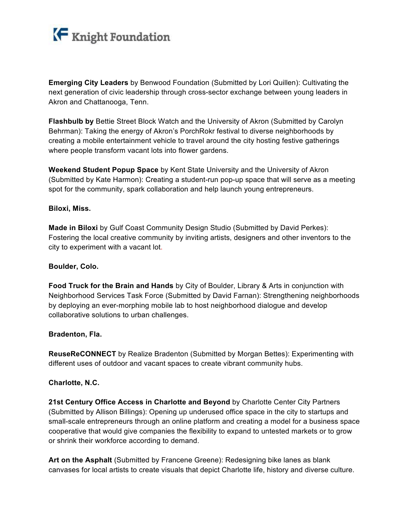

**Emerging City Leaders** by Benwood Foundation (Submitted by Lori Quillen): Cultivating the next generation of civic leadership through cross-sector exchange between young leaders in Akron and Chattanooga, Tenn.

**Flashbulb by** Bettie Street Block Watch and the University of Akron (Submitted by Carolyn Behrman): Taking the energy of Akron's PorchRokr festival to diverse neighborhoods by creating a mobile entertainment vehicle to travel around the city hosting festive gatherings where people transform vacant lots into flower gardens.

**Weekend Student Popup Space** by Kent State University and the University of Akron (Submitted by Kate Harmon): Creating a student-run pop-up space that will serve as a meeting spot for the community, spark collaboration and help launch young entrepreneurs.

## **Biloxi, Miss.**

**Made in Biloxi** by Gulf Coast Community Design Studio (Submitted by David Perkes): Fostering the local creative community by inviting artists, designers and other inventors to the city to experiment with a vacant lot.

#### **Boulder, Colo.**

**Food Truck for the Brain and Hands** by City of Boulder, Library & Arts in conjunction with Neighborhood Services Task Force (Submitted by David Farnan): Strengthening neighborhoods by deploying an ever-morphing mobile lab to host neighborhood dialogue and develop collaborative solutions to urban challenges.

#### **Bradenton, Fla.**

**ReuseReCONNECT** by Realize Bradenton (Submitted by Morgan Bettes): Experimenting with different uses of outdoor and vacant spaces to create vibrant community hubs.

# **Charlotte, N.C.**

**21st Century Office Access in Charlotte and Beyond** by Charlotte Center City Partners (Submitted by Allison Billings): Opening up underused office space in the city to startups and small-scale entrepreneurs through an online platform and creating a model for a business space cooperative that would give companies the flexibility to expand to untested markets or to grow or shrink their workforce according to demand.

**Art on the Asphalt** (Submitted by Francene Greene): Redesigning bike lanes as blank canvases for local artists to create visuals that depict Charlotte life, history and diverse culture.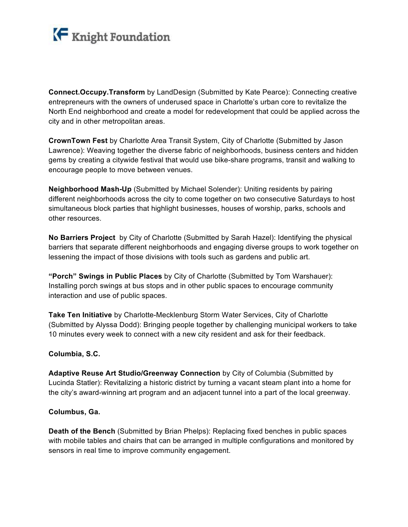

**Connect.Occupy.Transform** by LandDesign (Submitted by Kate Pearce): Connecting creative entrepreneurs with the owners of underused space in Charlotte's urban core to revitalize the North End neighborhood and create a model for redevelopment that could be applied across the city and in other metropolitan areas.

**CrownTown Fest** by Charlotte Area Transit System, City of Charlotte (Submitted by Jason Lawrence): Weaving together the diverse fabric of neighborhoods, business centers and hidden gems by creating a citywide festival that would use bike-share programs, transit and walking to encourage people to move between venues.

**Neighborhood Mash-Up** (Submitted by Michael Solender): Uniting residents by pairing different neighborhoods across the city to come together on two consecutive Saturdays to host simultaneous block parties that highlight businesses, houses of worship, parks, schools and other resources.

**No Barriers Project** by City of Charlotte (Submitted by Sarah Hazel): Identifying the physical barriers that separate different neighborhoods and engaging diverse groups to work together on lessening the impact of those divisions with tools such as gardens and public art.

**"Porch" Swings in Public Places** by City of Charlotte (Submitted by Tom Warshauer): Installing porch swings at bus stops and in other public spaces to encourage community interaction and use of public spaces.

**Take Ten Initiative** by Charlotte-Mecklenburg Storm Water Services, City of Charlotte (Submitted by Alyssa Dodd): Bringing people together by challenging municipal workers to take 10 minutes every week to connect with a new city resident and ask for their feedback.

# **Columbia, S.C.**

**Adaptive Reuse Art Studio/Greenway Connection** by City of Columbia (Submitted by Lucinda Statler): Revitalizing a historic district by turning a vacant steam plant into a home for the city's award-winning art program and an adjacent tunnel into a part of the local greenway.

#### **Columbus, Ga.**

**Death of the Bench** (Submitted by Brian Phelps): Replacing fixed benches in public spaces with mobile tables and chairs that can be arranged in multiple configurations and monitored by sensors in real time to improve community engagement.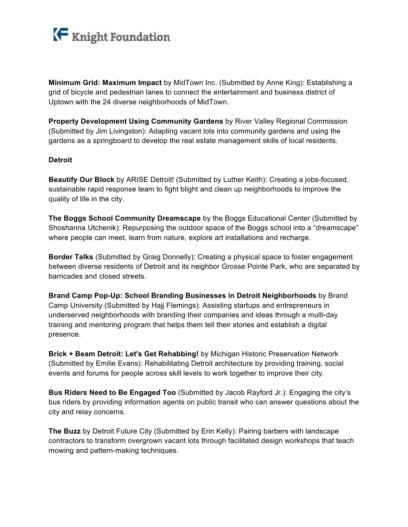

**Minimum Grid: Maximum Impact** by MidTown Inc. (Submitted by Anne King): Establishing a grid of bicycle and pedestrian lanes to connect the entertainment and business district of Uptown with the 24 diverse neighborhoods of MidTown.

**Property Development Using Community Gardens** by River Valley Regional Commission (Submitted by Jim Livingston): Adapting vacant lots into community gardens and using the gardens as a springboard to develop the real estate management skills of local residents.

## **Detroit**

**Beautify Our Block** by ARISE Detroit! (Submitted by Luther Keith): Creating a jobs-focused, sustainable rapid response team to fight blight and clean up neighborhoods to improve the quality of life in the city.

**The Boggs School Community Dreamscape** by the Boggs Educational Center (Submitted by Shoshanna Utchenik): Repurposing the outdoor space of the Boggs school into a "dreamscape" where people can meet, learn from nature, explore art installations and recharge.

**Border Talks** (Submitted by Graig Donnelly): Creating a physical space to foster engagement between diverse residents of Detroit and its neighbor Grosse Pointe Park, who are separated by barricades and closed streets.

**Brand Camp Pop-Up: School Branding Businesses in Detroit Neighborhoods** by Brand Camp University (Submitted by Hajj Flemings): Assisting startups and entrepreneurs in underserved neighborhoods with branding their companies and ideas through a multi-day training and mentoring program that helps them tell their stories and establish a digital presence.

**Brick + Beam Detroit: Let's Get Rehabbing!** by Michigan Historic Preservation Network (Submitted by Emilie Evans): Rehabilitating Detroit architecture by providing training, social events and forums for people across skill levels to work together to improve their city.

**Bus Riders Need to Be Engaged Too** (Submitted by Jacob Rayford Jr.): Engaging the city's bus riders by providing information agents on public transit who can answer questions about the city and relay concerns.

**The Buzz** by Detroit Future City (Submitted by Erin Kelly): Pairing barbers with landscape contractors to transform overgrown vacant lots through facilitated design workshops that teach mowing and pattern-making techniques.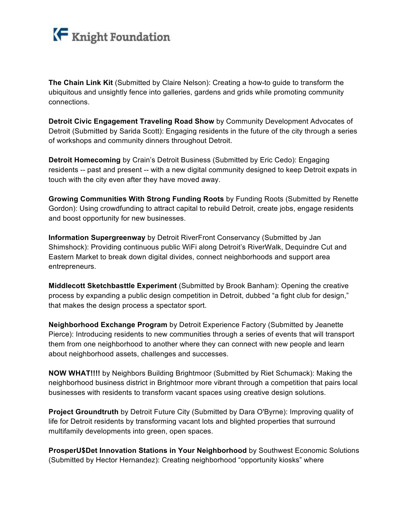

**The Chain Link Kit** (Submitted by Claire Nelson): Creating a how-to guide to transform the ubiquitous and unsightly fence into galleries, gardens and grids while promoting community connections.

**Detroit Civic Engagement Traveling Road Show** by Community Development Advocates of Detroit (Submitted by Sarida Scott): Engaging residents in the future of the city through a series of workshops and community dinners throughout Detroit.

**Detroit Homecoming** by Crain's Detroit Business (Submitted by Eric Cedo): Engaging residents -- past and present -- with a new digital community designed to keep Detroit expats in touch with the city even after they have moved away.

**Growing Communities With Strong Funding Roots** by Funding Roots (Submitted by Renette Gordon): Using crowdfunding to attract capital to rebuild Detroit, create jobs, engage residents and boost opportunity for new businesses.

**Information Supergreenway** by Detroit RiverFront Conservancy (Submitted by Jan Shimshock): Providing continuous public WiFi along Detroit's RiverWalk, Dequindre Cut and Eastern Market to break down digital divides, connect neighborhoods and support area entrepreneurs.

**Middlecott Sketchbasttle Experiment** (Submitted by Brook Banham): Opening the creative process by expanding a public design competition in Detroit, dubbed "a fight club for design," that makes the design process a spectator sport.

**Neighborhood Exchange Program** by Detroit Experience Factory (Submitted by Jeanette Pierce): Introducing residents to new communities through a series of events that will transport them from one neighborhood to another where they can connect with new people and learn about neighborhood assets, challenges and successes.

**NOW WHAT!!!!** by Neighbors Building Brightmoor (Submitted by Riet Schumack): Making the neighborhood business district in Brightmoor more vibrant through a competition that pairs local businesses with residents to transform vacant spaces using creative design solutions.

**Project Groundtruth** by Detroit Future City (Submitted by Dara O'Byrne): Improving quality of life for Detroit residents by transforming vacant lots and blighted properties that surround multifamily developments into green, open spaces.

**ProsperU\$Det Innovation Stations in Your Neighborhood** by Southwest Economic Solutions (Submitted by Hector Hernandez): Creating neighborhood "opportunity kiosks" where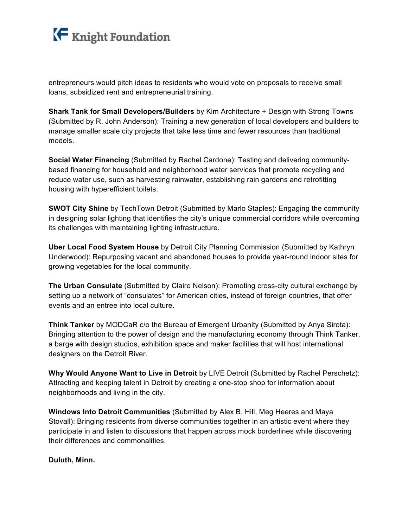

entrepreneurs would pitch ideas to residents who would vote on proposals to receive small loans, subsidized rent and entrepreneurial training.

**Shark Tank for Small Developers/Builders** by Kim Architecture + Design with Strong Towns (Submitted by R. John Anderson): Training a new generation of local developers and builders to manage smaller scale city projects that take less time and fewer resources than traditional models.

**Social Water Financing** (Submitted by Rachel Cardone): Testing and delivering communitybased financing for household and neighborhood water services that promote recycling and reduce water use, such as harvesting rainwater, establishing rain gardens and retrofitting housing with hyperefficient toilets.

**SWOT City Shine** by TechTown Detroit (Submitted by Marlo Staples): Engaging the community in designing solar lighting that identifies the city's unique commercial corridors while overcoming its challenges with maintaining lighting infrastructure.

**Uber Local Food System House** by Detroit City Planning Commission (Submitted by Kathryn Underwood): Repurposing vacant and abandoned houses to provide year-round indoor sites for growing vegetables for the local community.

**The Urban Consulate** (Submitted by Claire Nelson): Promoting cross-city cultural exchange by setting up a network of "consulates" for American cities, instead of foreign countries, that offer events and an entree into local culture.

**Think Tanker** by MODCaR c/o the Bureau of Emergent Urbanity (Submitted by Anya Sirota): Bringing attention to the power of design and the manufacturing economy through Think Tanker, a barge with design studios, exhibition space and maker facilities that will host international designers on the Detroit River.

**Why Would Anyone Want to Live in Detroit** by LIVE Detroit (Submitted by Rachel Perschetz): Attracting and keeping talent in Detroit by creating a one-stop shop for information about neighborhoods and living in the city.

**Windows Into Detroit Communities** (Submitted by Alex B. Hill, Meg Heeres and Maya Stovall): Bringing residents from diverse communities together in an artistic event where they participate in and listen to discussions that happen across mock borderlines while discovering their differences and commonalities.

# **Duluth, Minn.**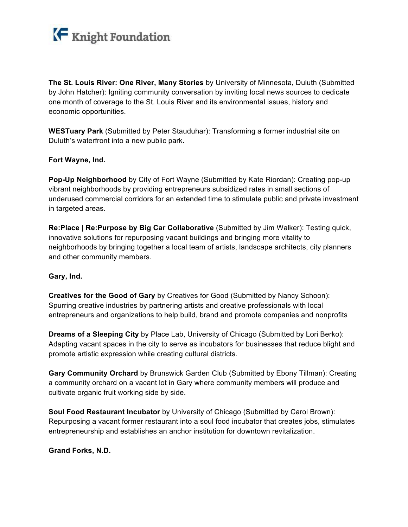

**The St. Louis River: One River, Many Stories** by University of Minnesota, Duluth (Submitted by John Hatcher): Igniting community conversation by inviting local news sources to dedicate one month of coverage to the St. Louis River and its environmental issues, history and economic opportunities.

**WESTuary Park** (Submitted by Peter Stauduhar): Transforming a former industrial site on Duluth's waterfront into a new public park.

# **Fort Wayne, Ind.**

**Pop-Up Neighborhood** by City of Fort Wayne (Submitted by Kate Riordan): Creating pop-up vibrant neighborhoods by providing entrepreneurs subsidized rates in small sections of underused commercial corridors for an extended time to stimulate public and private investment in targeted areas.

**Re:Place | Re:Purpose by Big Car Collaborative** (Submitted by Jim Walker): Testing quick, innovative solutions for repurposing vacant buildings and bringing more vitality to neighborhoods by bringing together a local team of artists, landscape architects, city planners and other community members.

# **Gary, Ind.**

**Creatives for the Good of Gary** by Creatives for Good (Submitted by Nancy Schoon): Spurring creative industries by partnering artists and creative professionals with local entrepreneurs and organizations to help build, brand and promote companies and nonprofits

**Dreams of a Sleeping City** by Place Lab, University of Chicago (Submitted by Lori Berko): Adapting vacant spaces in the city to serve as incubators for businesses that reduce blight and promote artistic expression while creating cultural districts.

**Gary Community Orchard** by Brunswick Garden Club (Submitted by Ebony Tillman): Creating a community orchard on a vacant lot in Gary where community members will produce and cultivate organic fruit working side by side.

**Soul Food Restaurant Incubator** by University of Chicago (Submitted by Carol Brown): Repurposing a vacant former restaurant into a soul food incubator that creates jobs, stimulates entrepreneurship and establishes an anchor institution for downtown revitalization.

# **Grand Forks, N.D.**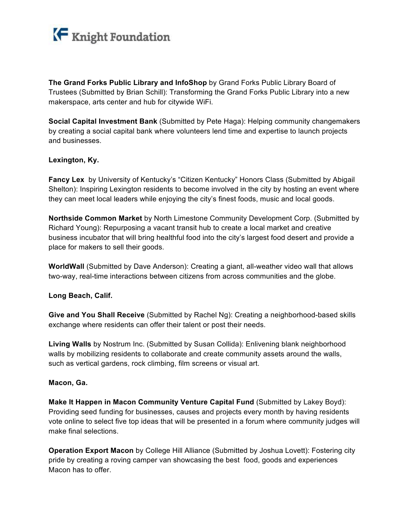

**The Grand Forks Public Library and InfoShop** by Grand Forks Public Library Board of Trustees (Submitted by Brian Schill): Transforming the Grand Forks Public Library into a new makerspace, arts center and hub for citywide WiFi.

**Social Capital Investment Bank** (Submitted by Pete Haga): Helping community changemakers by creating a social capital bank where volunteers lend time and expertise to launch projects and businesses.

## **Lexington, Ky.**

**Fancy Lex** by University of Kentucky's "Citizen Kentucky" Honors Class (Submitted by Abigail Shelton): Inspiring Lexington residents to become involved in the city by hosting an event where they can meet local leaders while enjoying the city's finest foods, music and local goods.

**Northside Common Market** by North Limestone Community Development Corp. (Submitted by Richard Young): Repurposing a vacant transit hub to create a local market and creative business incubator that will bring healthful food into the city's largest food desert and provide a place for makers to sell their goods.

**WorldWall** (Submitted by Dave Anderson): Creating a giant, all-weather video wall that allows two-way, real-time interactions between citizens from across communities and the globe.

# **Long Beach, Calif.**

**Give and You Shall Receive** (Submitted by Rachel Ng): Creating a neighborhood-based skills exchange where residents can offer their talent or post their needs.

**Living Walls** by Nostrum Inc. (Submitted by Susan Collida): Enlivening blank neighborhood walls by mobilizing residents to collaborate and create community assets around the walls, such as vertical gardens, rock climbing, film screens or visual art.

#### **Macon, Ga.**

**Make It Happen in Macon Community Venture Capital Fund** (Submitted by Lakey Boyd): Providing seed funding for businesses, causes and projects every month by having residents vote online to select five top ideas that will be presented in a forum where community judges will make final selections.

**Operation Export Macon** by College Hill Alliance (Submitted by Joshua Lovett): Fostering city pride by creating a roving camper van showcasing the best food, goods and experiences Macon has to offer.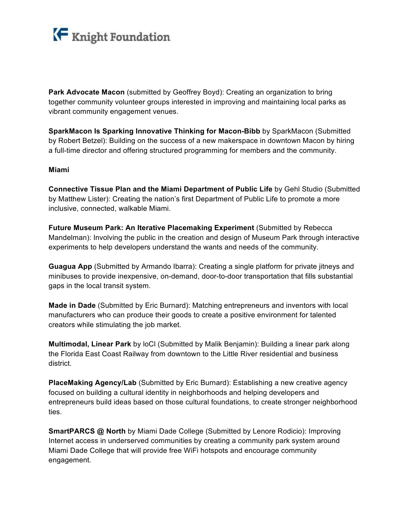

**Park Advocate Macon** (submitted by Geoffrey Boyd): Creating an organization to bring together community volunteer groups interested in improving and maintaining local parks as vibrant community engagement venues.

**SparkMacon Is Sparking Innovative Thinking for Macon-Bibb** by SparkMacon (Submitted by Robert Betzel): Building on the success of a new makerspace in downtown Macon by hiring a full-time director and offering structured programming for members and the community.

## **Miami**

**Connective Tissue Plan and the Miami Department of Public Life** by Gehl Studio (Submitted by Matthew Lister): Creating the nation's first Department of Public Life to promote a more inclusive, connected, walkable Miami.

**Future Museum Park: An Iterative Placemaking Experiment** (Submitted by Rebecca Mandelman): Involving the public in the creation and design of Museum Park through interactive experiments to help developers understand the wants and needs of the community.

**Guagua App** (Submitted by Armando Ibarra): Creating a single platform for private jitneys and minibuses to provide inexpensive, on-demand, door-to-door transportation that fills substantial gaps in the local transit system.

**Made in Dade** (Submitted by Eric Burnard): Matching entrepreneurs and inventors with local manufacturers who can produce their goods to create a positive environment for talented creators while stimulating the job market.

**Multimodal, Linear Park** by loCl (Submitted by Malik Benjamin): Building a linear park along the Florida East Coast Railway from downtown to the Little River residential and business district.

**PlaceMaking Agency/Lab** (Submitted by Eric Burnard): Establishing a new creative agency focused on building a cultural identity in neighborhoods and helping developers and entrepreneurs build ideas based on those cultural foundations, to create stronger neighborhood ties.

**SmartPARCS @ North** by Miami Dade College (Submitted by Lenore Rodicio): Improving Internet access in underserved communities by creating a community park system around Miami Dade College that will provide free WiFi hotspots and encourage community engagement.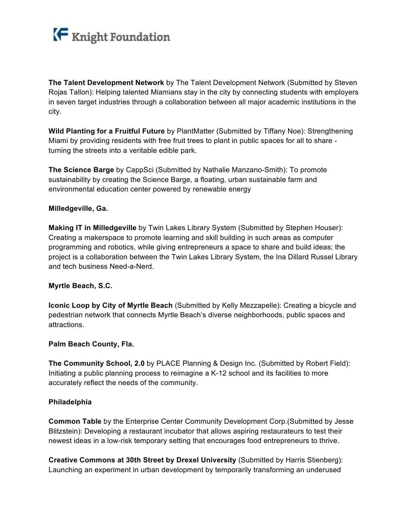

**The Talent Development Network** by The Talent Development Network (Submitted by Steven Rojas Tallon): Helping talented Miamians stay in the city by connecting students with employers in seven target industries through a collaboration between all major academic institutions in the city.

**Wild Planting for a Fruitful Future** by PlantMatter (Submitted by Tiffany Noe): Strengthening Miami by providing residents with free fruit trees to plant in public spaces for all to share turning the streets into a veritable edible park.

**The Science Barge** by CappSci (Submitted by Nathalie Manzano-Smith): To promote sustainability by creating the Science Barge, a floating, urban sustainable farm and environmental education center powered by renewable energy

# **Milledgeville, Ga.**

**Making IT in Milledgeville** by Twin Lakes Library System (Submitted by Stephen Houser): Creating a makerspace to promote learning and skill building in such areas as computer programming and robotics, while giving entrepreneurs a space to share and build ideas; the project is a collaboration between the Twin Lakes Library System, the Ina Dillard Russel Library and tech business Need-a-Nerd.

## **Myrtle Beach, S.C.**

**Iconic Loop by City of Myrtle Beach** (Submitted by Kelly Mezzapelle): Creating a bicycle and pedestrian network that connects Myrtle Beach's diverse neighborhoods, public spaces and attractions.

#### **Palm Beach County, Fla.**

**The Community School, 2.0** by PLACE Planning & Design Inc. (Submitted by Robert Field): Initiating a public planning process to reimagine a K-12 school and its facilities to more accurately reflect the needs of the community.

#### **Philadelphia**

**Common Table** by the Enterprise Center Community Development Corp.(Submitted by Jesse Blitzstein): Developing a restaurant incubator that allows aspiring restaurateurs to test their newest ideas in a low-risk temporary setting that encourages food entrepreneurs to thrive.

**Creative Commons at 30th Street by Drexel University** (Submitted by Harris Stienberg): Launching an experiment in urban development by temporarily transforming an underused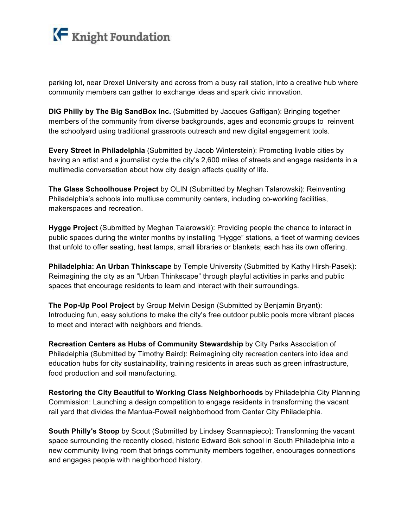

parking lot, near Drexel University and across from a busy rail station, into a creative hub where community members can gather to exchange ideas and spark civic innovation.

**DIG Philly by The Big SandBox Inc.** (Submitted by Jacques Gaffigan): Bringing together members of the community from diverse backgrounds, ages and economic groups to-reinvent the schoolyard using traditional grassroots outreach and new digital engagement tools.

**Every Street in Philadelphia** (Submitted by Jacob Winterstein): Promoting livable cities by having an artist and a journalist cycle the city's 2,600 miles of streets and engage residents in a multimedia conversation about how city design affects quality of life.

**The Glass Schoolhouse Project** by OLIN (Submitted by Meghan Talarowski): Reinventing Philadelphia's schools into multiuse community centers, including co-working facilities, makerspaces and recreation.

**Hygge Project** (Submitted by Meghan Talarowski): Providing people the chance to interact in public spaces during the winter months by installing "Hygge" stations, a fleet of warming devices that unfold to offer seating, heat lamps, small libraries or blankets; each has its own offering.

**Philadelphia: An Urban Thinkscape** by Temple University (Submitted by Kathy Hirsh-Pasek): Reimagining the city as an "Urban Thinkscape" through playful activities in parks and public spaces that encourage residents to learn and interact with their surroundings.

**The Pop-Up Pool Project** by Group Melvin Design (Submitted by Benjamin Bryant): Introducing fun, easy solutions to make the city's free outdoor public pools more vibrant places to meet and interact with neighbors and friends.

**Recreation Centers as Hubs of Community Stewardship** by City Parks Association of Philadelphia (Submitted by Timothy Baird): Reimagining city recreation centers into idea and education hubs for city sustainability, training residents in areas such as green infrastructure, food production and soil manufacturing.

**Restoring the City Beautiful to Working Class Neighborhoods** by Philadelphia City Planning Commission: Launching a design competition to engage residents in transforming the vacant rail yard that divides the Mantua-Powell neighborhood from Center City Philadelphia.

**South Philly's Stoop** by Scout (Submitted by Lindsey Scannapieco): Transforming the vacant space surrounding the recently closed, historic Edward Bok school in South Philadelphia into a new community living room that brings community members together, encourages connections and engages people with neighborhood history.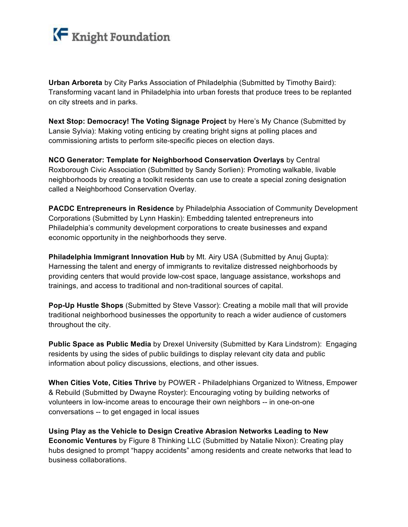

**Urban Arboreta** by City Parks Association of Philadelphia (Submitted by Timothy Baird): Transforming vacant land in Philadelphia into urban forests that produce trees to be replanted on city streets and in parks.

**Next Stop: Democracy! The Voting Signage Project** by Here's My Chance (Submitted by Lansie Sylvia): Making voting enticing by creating bright signs at polling places and commissioning artists to perform site-specific pieces on election days.

**NCO Generator: Template for Neighborhood Conservation Overlays** by Central Roxborough Civic Association (Submitted by Sandy Sorlien): Promoting walkable, livable neighborhoods by creating a toolkit residents can use to create a special zoning designation called a Neighborhood Conservation Overlay.

**PACDC Entrepreneurs in Residence** by Philadelphia Association of Community Development Corporations (Submitted by Lynn Haskin): Embedding talented entrepreneurs into Philadelphia's community development corporations to create businesses and expand economic opportunity in the neighborhoods they serve.

**Philadelphia Immigrant Innovation Hub** by Mt. Airy USA (Submitted by Anuj Gupta): Harnessing the talent and energy of immigrants to revitalize distressed neighborhoods by providing centers that would provide low-cost space, language assistance, workshops and trainings, and access to traditional and non-traditional sources of capital.

**Pop-Up Hustle Shops** (Submitted by Steve Vassor): Creating a mobile mall that will provide traditional neighborhood businesses the opportunity to reach a wider audience of customers throughout the city.

**Public Space as Public Media** by Drexel University (Submitted by Kara Lindstrom): Engaging residents by using the sides of public buildings to display relevant city data and public information about policy discussions, elections, and other issues.

**When Cities Vote, Cities Thrive** by POWER - Philadelphians Organized to Witness, Empower & Rebuild (Submitted by Dwayne Royster): Encouraging voting by building networks of volunteers in low-income areas to encourage their own neighbors -- in one-on-one conversations -- to get engaged in local issues

**Using Play as the Vehicle to Design Creative Abrasion Networks Leading to New Economic Ventures** by Figure 8 Thinking LLC (Submitted by Natalie Nixon): Creating play hubs designed to prompt "happy accidents" among residents and create networks that lead to business collaborations.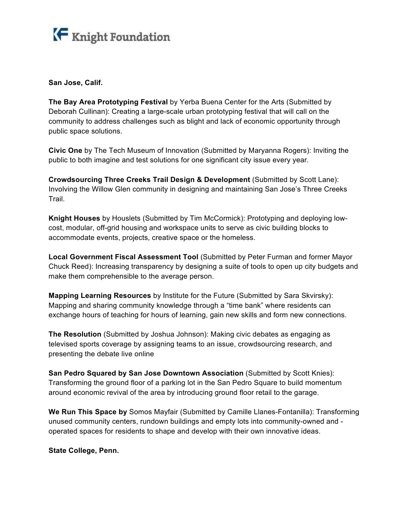

**San Jose, Calif.** 

**The Bay Area Prototyping Festival** by Yerba Buena Center for the Arts (Submitted by Deborah Cullinan): Creating a large-scale urban prototyping festival that will call on the community to address challenges such as blight and lack of economic opportunity through public space solutions.

**Civic One** by The Tech Museum of Innovation (Submitted by Maryanna Rogers): Inviting the public to both imagine and test solutions for one significant city issue every year.

**Crowdsourcing Three Creeks Trail Design & Development** (Submitted by Scott Lane): Involving the Willow Glen community in designing and maintaining San Jose's Three Creeks Trail.

**Knight Houses** by Houslets (Submitted by Tim McCormick): Prototyping and deploying lowcost, modular, off-grid housing and workspace units to serve as civic building blocks to accommodate events, projects, creative space or the homeless.

**Local Government Fiscal Assessment Tool** (Submitted by Peter Furman and former Mayor Chuck Reed): Increasing transparency by designing a suite of tools to open up city budgets and make them comprehensible to the average person.

**Mapping Learning Resources** by Institute for the Future (Submitted by Sara Skvirsky): Mapping and sharing community knowledge through a "time bank" where residents can exchange hours of teaching for hours of learning, gain new skills and form new connections.

**The Resolution** (Submitted by Joshua Johnson): Making civic debates as engaging as televised sports coverage by assigning teams to an issue, crowdsourcing research, and presenting the debate live online

**San Pedro Squared by San Jose Downtown Association** (Submitted by Scott Knies): Transforming the ground floor of a parking lot in the San Pedro Square to build momentum around economic revival of the area by introducing ground floor retail to the garage.

**We Run This Space by** Somos Mayfair (Submitted by Camille Llanes-Fontanilla): Transforming unused community centers, rundown buildings and empty lots into community-owned and operated spaces for residents to shape and develop with their own innovative ideas.

**State College, Penn.**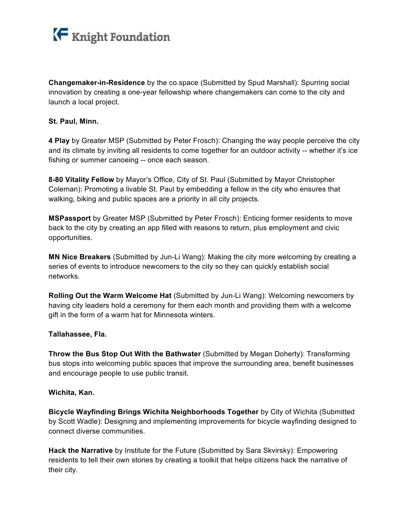

**Changemaker-in-Residence** by the co.space (Submitted by Spud Marshall): Spurring social innovation by creating a one-year fellowship where changemakers can come to the city and launch a local project.

## **St. Paul, Minn.**

**4 Play** by Greater MSP (Submitted by Peter Frosch): Changing the way people perceive the city and its climate by inviting all residents to come together for an outdoor activity -- whether it's ice fishing or summer canoeing -- once each season.

**8-80 Vitality Fellow** by Mayor's Office, City of St. Paul (Submitted by Mayor Christopher Coleman): Promoting a livable St. Paul by embedding a fellow in the city who ensures that walking, biking and public spaces are a priority in all city projects.

**MSPassport** by Greater MSP (Submitted by Peter Frosch): Enticing former residents to move back to the city by creating an app filled with reasons to return, plus employment and civic opportunities.

**MN Nice Breakers** (Submitted by Jun-Li Wang): Making the city more welcoming by creating a series of events to introduce newcomers to the city so they can quickly establish social networks.

**Rolling Out the Warm Welcome Hat** (Submitted by Jun-Li Wang): Welcoming newcomers by having city leaders hold a ceremony for them each month and providing them with a welcome gift in the form of a warm hat for Minnesota winters.

# **Tallahassee, Fla.**

**Throw the Bus Stop Out With the Bathwater** (Submitted by Megan Doherty): Transforming bus stops into welcoming public spaces that improve the surrounding area, benefit businesses and encourage people to use public transit.

#### **Wichita, Kan.**

**Bicycle Wayfinding Brings Wichita Neighborhoods Together** by City of Wichita (Submitted by Scott Wadle): Designing and implementing improvements for bicycle wayfinding designed to connect diverse communities.

**Hack the Narrative** by Institute for the Future (Submitted by Sara Skvirsky): Empowering residents to tell their own stories by creating a toolkit that helps citizens hack the narrative of their city.